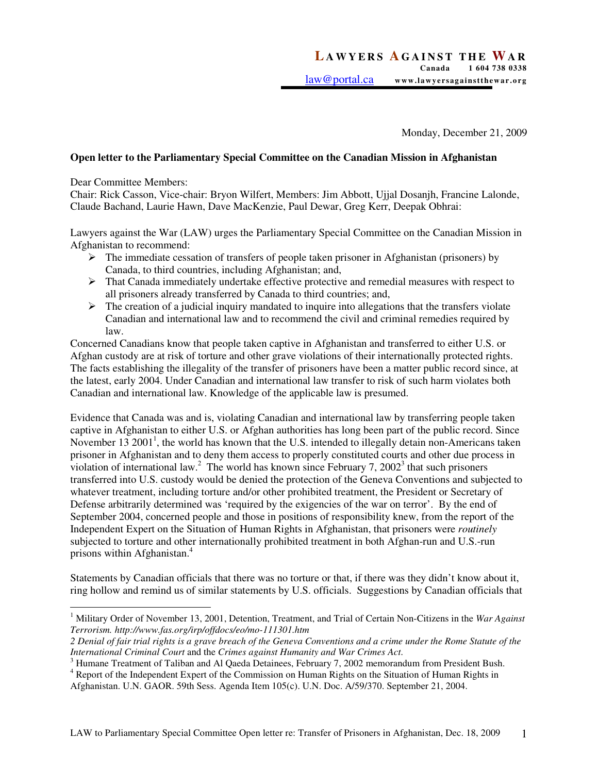Monday, December 21, 2009

## **Open letter to the Parliamentary Special Committee on the Canadian Mission in Afghanistan**

Dear Committee Members:

Chair: Rick Casson, Vice-chair: Bryon Wilfert, Members: Jim Abbott, Ujjal Dosanjh, Francine Lalonde, Claude Bachand, Laurie Hawn, Dave MacKenzie, Paul Dewar, Greg Kerr, Deepak Obhrai:

Lawyers against the War (LAW) urges the Parliamentary Special Committee on the Canadian Mission in Afghanistan to recommend:

- $\triangleright$  The immediate cessation of transfers of people taken prisoner in Afghanistan (prisoners) by Canada, to third countries, including Afghanistan; and,
- $\triangleright$  That Canada immediately undertake effective protective and remedial measures with respect to all prisoners already transferred by Canada to third countries; and,
- $\triangleright$  The creation of a judicial inquiry mandated to inquire into allegations that the transfers violate Canadian and international law and to recommend the civil and criminal remedies required by law.

Concerned Canadians know that people taken captive in Afghanistan and transferred to either U.S. or Afghan custody are at risk of torture and other grave violations of their internationally protected rights. The facts establishing the illegality of the transfer of prisoners have been a matter public record since, at the latest, early 2004. Under Canadian and international law transfer to risk of such harm violates both Canadian and international law. Knowledge of the applicable law is presumed.

Evidence that Canada was and is, violating Canadian and international law by transferring people taken captive in Afghanistan to either U.S. or Afghan authorities has long been part of the public record. Since November 13 2001<sup>1</sup>, the world has known that the U.S. intended to illegally detain non-Americans taken prisoner in Afghanistan and to deny them access to properly constituted courts and other due process in violation of international law.<sup>2</sup> The world has known since February 7, 2002<sup>3</sup> that such prisoners transferred into U.S. custody would be denied the protection of the Geneva Conventions and subjected to whatever treatment, including torture and/or other prohibited treatment, the President or Secretary of Defense arbitrarily determined was 'required by the exigencies of the war on terror'. By the end of September 2004, concerned people and those in positions of responsibility knew, from the report of the Independent Expert on the Situation of Human Rights in Afghanistan, that prisoners were *routinely* subjected to torture and other internationally prohibited treatment in both Afghan-run and U.S.-run prisons within Afghanistan.<sup>4</sup>

Statements by Canadian officials that there was no torture or that, if there was they didn't know about it, ring hollow and remind us of similar statements by U.S. officials. Suggestions by Canadian officials that

 1 Military Order of November 13, 2001, Detention, Treatment, and Trial of Certain Non-Citizens in the *War Against Terrorism. http://www.fas.org/irp/offdocs/eo/mo-111301.htm* 

*<sup>2</sup> Denial of fair trial rights is a grave breach of the Geneva Conventions and a crime under the Rome Statute of the International Criminal Court* and the *Crimes against Humanity and War Crimes Act*.

<sup>&</sup>lt;sup>3</sup> Humane Treatment of Taliban and Al Qaeda Detainees, February 7, 2002 memorandum from President Bush.

<sup>&</sup>lt;sup>4</sup> Report of the Independent Expert of the Commission on Human Rights on the Situation of Human Rights in Afghanistan. U.N. GAOR. 59th Sess. Agenda Item 105(c). U.N. Doc. A/59/370. September 21, 2004.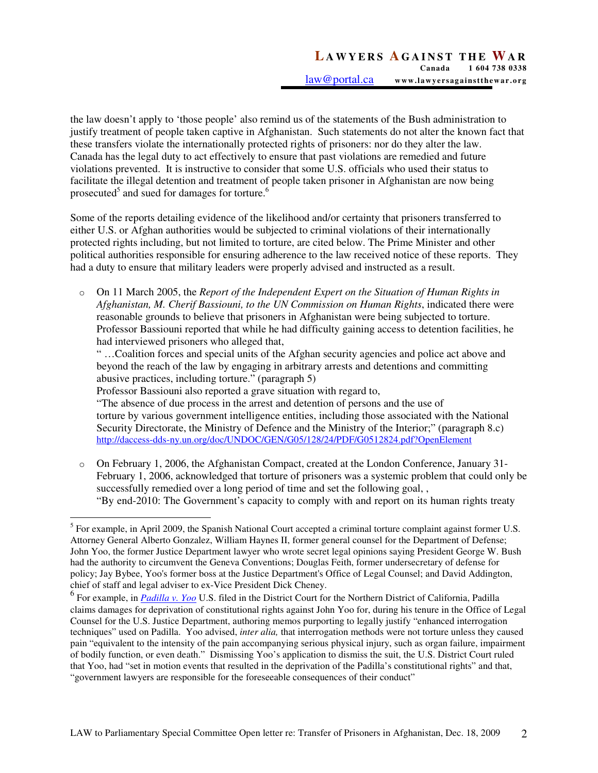the law doesn't apply to 'those people' also remind us of the statements of the Bush administration to justify treatment of people taken captive in Afghanistan. Such statements do not alter the known fact that these transfers violate the internationally protected rights of prisoners: nor do they alter the law. Canada has the legal duty to act effectively to ensure that past violations are remedied and future violations prevented. It is instructive to consider that some U.S. officials who used their status to facilitate the illegal detention and treatment of people taken prisoner in Afghanistan are now being prosecuted<sup>5</sup> and sued for damages for torture.<sup>6</sup>

Some of the reports detailing evidence of the likelihood and/or certainty that prisoners transferred to either U.S. or Afghan authorities would be subjected to criminal violations of their internationally protected rights including, but not limited to torture, are cited below. The Prime Minister and other political authorities responsible for ensuring adherence to the law received notice of these reports. They had a duty to ensure that military leaders were properly advised and instructed as a result.

o On 11 March 2005, the *Report of the Independent Expert on the Situation of Human Rights in Afghanistan, M. Cherif Bassiouni, to the UN Commission on Human Rights*, indicated there were reasonable grounds to believe that prisoners in Afghanistan were being subjected to torture. Professor Bassiouni reported that while he had difficulty gaining access to detention facilities, he had interviewed prisoners who alleged that,

" …Coalition forces and special units of the Afghan security agencies and police act above and beyond the reach of the law by engaging in arbitrary arrests and detentions and committing abusive practices, including torture." (paragraph 5)

Professor Bassiouni also reported a grave situation with regard to,

"The absence of due process in the arrest and detention of persons and the use of torture by various government intelligence entities, including those associated with the National Security Directorate, the Ministry of Defence and the Ministry of the Interior;" (paragraph 8.c) http://daccess-dds-ny.un.org/doc/UNDOC/GEN/G05/128/24/PDF/G0512824.pdf?OpenElement

o On February 1, 2006, the Afghanistan Compact, created at the London Conference, January 31- February 1, 2006, acknowledged that torture of prisoners was a systemic problem that could only be successfully remedied over a long period of time and set the following goal, , "By end-2010: The Government's capacity to comply with and report on its human rights treaty

 $\overline{a}$ <sup>5</sup> For example, in April 2009, the Spanish National Court accepted a criminal torture complaint against former U.S. Attorney General Alberto Gonzalez, William Haynes II, former general counsel for the Department of Defense; John Yoo, the former Justice Department lawyer who wrote secret legal opinions saying President George W. Bush had the authority to circumvent the Geneva Conventions; Douglas Feith, former undersecretary of defense for policy; Jay Bybee, Yoo's former boss at the Justice Department's Office of Legal Counsel; and David Addington, chief of staff and legal adviser to ex-Vice President Dick Cheney.

<sup>6</sup> For example, in *Padilla v. Yoo* U.S. filed in the District Court for the Northern District of California, Padilla claims damages for deprivation of constitutional rights against John Yoo for, during his tenure in the Office of Legal Counsel for the U.S. Justice Department, authoring memos purporting to legally justify "enhanced interrogation techniques" used on Padilla. Yoo advised, *inter alia,* that interrogation methods were not torture unless they caused pain "equivalent to the intensity of the pain accompanying serious physical injury, such as organ failure, impairment of bodily function, or even death." Dismissing Yoo's application to dismiss the suit, the U.S. District Court ruled that Yoo, had "set in motion events that resulted in the deprivation of the Padilla's constitutional rights" and that, "government lawyers are responsible for the foreseeable consequences of their conduct"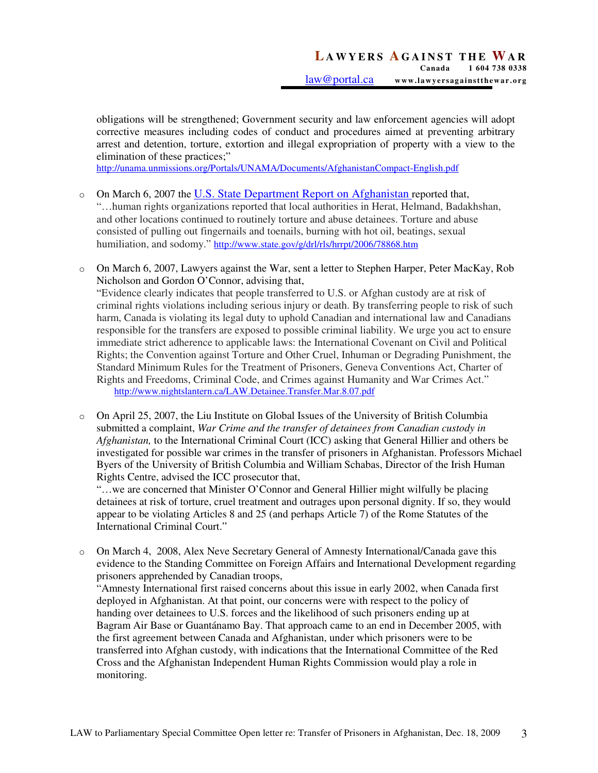obligations will be strengthened; Government security and law enforcement agencies will adopt corrective measures including codes of conduct and procedures aimed at preventing arbitrary arrest and detention, torture, extortion and illegal expropriation of property with a view to the elimination of these practices;"

http://unama.unmissions.org/Portals/UNAMA/Documents/AfghanistanCompact-English.pdf

- o On March 6, 2007 the U.S. State Department Report on Afghanistan reported that, "…human rights organizations reported that local authorities in Herat, Helmand, Badakhshan, and other locations continued to routinely torture and abuse detainees. Torture and abuse consisted of pulling out fingernails and toenails, burning with hot oil, beatings, sexual humiliation, and sodomy." http://www.state.gov/g/drl/rls/hrrpt/2006/78868.htm
- o On March 6, 2007, Lawyers against the War, sent a letter to Stephen Harper, Peter MacKay, Rob Nicholson and Gordon O'Connor, advising that, "Evidence clearly indicates that people transferred to U.S. or Afghan custody are at risk of criminal rights violations including serious injury or death. By transferring people to risk of such harm, Canada is violating its legal duty to uphold Canadian and international law and Canadians responsible for the transfers are exposed to possible criminal liability. We urge you act to ensure immediate strict adherence to applicable laws: the International Covenant on Civil and Political Rights; the Convention against Torture and Other Cruel, Inhuman or Degrading Punishment, the Standard Minimum Rules for the Treatment of Prisoners, Geneva Conventions Act, Charter of Rights and Freedoms, Criminal Code, and Crimes against Humanity and War Crimes Act." http://www.nightslantern.ca/LAW.Detainee.Transfer.Mar.8.07.pdf
- $\circ$  On April 25, 2007, the Liu Institute on Global Issues of the University of British Columbia submitted a complaint, *War Crime and the transfer of detainees from Canadian custody in Afghanistan,* to the International Criminal Court (ICC) asking that General Hillier and others be investigated for possible war crimes in the transfer of prisoners in Afghanistan. Professors Michael Byers of the University of British Columbia and William Schabas, Director of the Irish Human Rights Centre, advised the ICC prosecutor that,

 "…we are concerned that Minister O'Connor and General Hillier might wilfully be placing detainees at risk of torture, cruel treatment and outrages upon personal dignity. If so, they would appear to be violating Articles 8 and 25 (and perhaps Article 7) of the Rome Statutes of the International Criminal Court."

o On March 4, 2008, Alex Neve Secretary General of Amnesty International/Canada gave this evidence to the Standing Committee on Foreign Affairs and International Development regarding prisoners apprehended by Canadian troops, "Amnesty International first raised concerns about this issue in early 2002, when Canada first deployed in Afghanistan. At that point, our concerns were with respect to the policy of handing over detainees to U.S. forces and the likelihood of such prisoners ending up at Bagram Air Base or Guantánamo Bay. That approach came to an end in December 2005, with the first agreement between Canada and Afghanistan, under which prisoners were to be transferred into Afghan custody, with indications that the International Committee of the Red Cross and the Afghanistan Independent Human Rights Commission would play a role in monitoring.